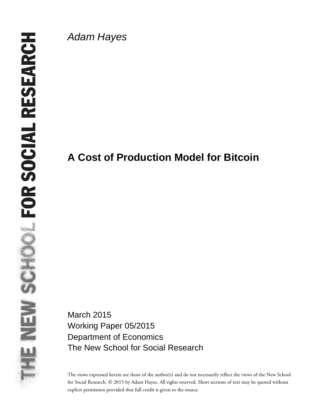*Adam Hayes*

# **A Cost of Production Model for Bitcoin**

March 2015 Working Paper 05/2015 Department of Economics The New School for Social Research

The views expressed herein are those of the author(s) and do not necessarily reflect the views of the New School for Social Research. © 2015 by Adam Hayes. All rights reserved. Short sections of text may be quoted without explicit permission provided that full credit is given to the source.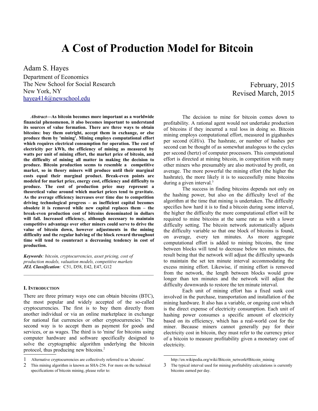# **A Cost of Production Model for Bitcoin**

Adam S. Hayes Department of Economics The New School for Social Research New York, NY

[hayea414@newschool.edu](mailto:hayea414@newschool.edu)

*Abstract***—As bitcoin becomes more important as a worldwide financial phenomenon, it also becomes important to understand its sources of value formation. There are three ways to obtain bitcoins: buy them outright, accept them in exchange, or else produce them by 'mining'. Mining employs computational effort which requires electrical consumption for operation. The cost of electricity per kWh, the efficiency of mining as measured by watts per unit of mining effort, the market price of bitcoin, and the difficulty of mining all matter in making the decision to produce. Bitcoin production seems to resemble a competitive market, so in theory miners will produce until their marginal costs equal their marginal product. Break-even points are modeled for market price, energy cost, efficiency and difficulty to produce. The cost of production price may represent a theoretical value around which market prices tend to gravitate. As the average efficiency increases over time due to competition driving technological progress – as inefficient capital becomes obsolete it is removed while new capital replaces them – the break-even production cost of bitcoins denominated in dollars will fall. Increased efficiency, although necessary to maintain competitive advantage over other miners could serve to drive the value of bitcoin down, however adjustments in the mining difficulty and the regular halving of the block reward throughout time will tend to counteract a decreasing tendency in cost of production.** 

*Keywords: bitcoin, cryptocurrencies, asset pricing, cost of production models, valuation models, competitive markets JEL Classification:* C51, D58, E42, E47, G12

# **I. INTRODUCTION**

There are three primary ways one can obtain bitcoins (BTC), the most popular and widely accepted of the so-called cryptocurrencies. The first is to buy them directly from another individual or via an online marketplace in exchange for national fiat currencies or other cryptocurrencies.<sup>[1](#page-1-0)</sup> The second way is to accept them as payment for goods and services, or as wages. The third is to 'mine' for bitcoins using computer hardware and software specifically designed to solve the cryptographic algorithm underlying the bitcoin protocol, thus producing new bitcoins.[2](#page-1-1)

February, 2015 Revised March, 2015

The decision to mine for bitcoin comes down to profitability. A rational agent would not undertake production of bitcoins if they incurred a real loss in doing so. Bitcoin mining employs computational effort, measured in gigahashes per second (GH/s). The hashrate, or number of hashes per second can be thought of as somewhat analogous to the cycles per second (hertz) of computer processors. This computational effort is directed at mining bitcoin, in competition with many other miners who presumably are also motivated by profit, on average. The more powerful the mining effort (the higher the hashrate), the more likely it is to successfully mine bitcoins during a given interval.<sup>[3](#page-1-2)</sup>

The success in finding bitcoins depends not only on the hashing power, but also on the difficulty level of the algorithm at the time that mining is undertaken. The difficulty specifies how hard it is to find a bitcoin during some interval, the higher the difficulty the more computational effort will be required to mine bitcoins at the same rate as with a lower difficulty setting. The bitcoin network automatically adjusts the difficulty variable so that one block of bitcoins is found, on average, every ten minutes. As more aggregate computational effort is added to mining bitcoins, the time between blocks will tend to decrease below ten minutes, the result being that the network will adjust the difficulty upwards to maintain the set ten minute interval accommodating the excess mining effort. Likewise, if mining effort is removed from the network, the length between blocks would grow longer than ten minutes and the network will adjust the difficulty downwards to restore the ten minute interval.

Each unit of mining effort has a fixed sunk cost involved in the purchase, transportation and installation of the mining hardware. It also has a variable, or ongoing cost which is the direct expense of electricity consumption. Each unit of hashing power consumes a specific amount of electricity based on its efficiency, which has a real-world cost for the miner. Because miners cannot generally pay for their electricity cost in bitcoin, they must refer to the currency price of a bitcoin to measure profitability given a monetary cost of electricity.

<span id="page-1-0"></span><sup>1</sup> Alternative cryptocurrencies are collectively referred to as 'altcoins'.

<span id="page-1-1"></span><sup>2</sup> This mining algorithm is known as SHA-256. For more on the technical specifications of bitcoin mining, please refer to:

<span id="page-1-2"></span>http://en.wikipedia.org/wiki/Bitcoin\_network#Bitcoin\_mining

<sup>3</sup> The typical interval used for mining profitability calculations is currently bitcoins earned per day.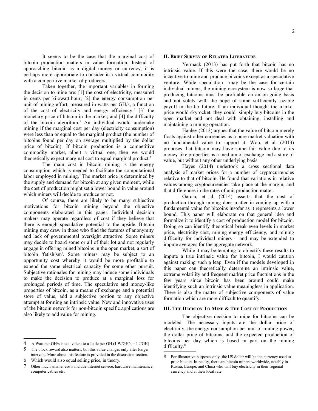It seems to be the case that the marginal cost of bitcoin production matters in value formation. Instead of approaching bitcoin as a digital money or currency, it is perhaps more appropriate to consider it a virtual commodity with a competitive market of producers.

Taken together, the important variables in forming the decision to mine are: [1] the cost of electricity, measured in cents per kilowatt-hour; [2] the energy consumption per unit of mining effort, measured in watts per GH/s, a function of the cost of electricity and energy efficiency;<sup>[4](#page-2-0)</sup> [3] the monetary price of bitcoin in the market; and [4] the difficulty of the bitcoin algorithm.<sup>[5](#page-2-1)</sup> An individual would undertake mining if the marginal cost per day (electricity consumption) were less than or equal to the marginal product (the number of bitcoins found per day on average multiplied by the dollar price of bitcoin). If bitcoin production is a competitive commodity market, albeit a virtual one, then we would theoretically expect marginal cost to equal marginal product.<sup>[6](#page-2-2)</sup>

The main cost in bitcoin mining is the energy consumption which is needed to facilitate the computational labor employed in mining.<sup>[7](#page-2-3)</sup> The market price is determined by the supply and demand for bitcoin at any given moment, while the cost of production might set a lower bound in value around which miners will decide to produce or not.

Of course, there are likely to be many subjective motivations for bitcoin mining beyond the objective components elaborated in this paper. Individual decision makers may operate regardless of cost if they believe that there is enough speculative potential to the upside. Bitcoin mining may draw in those who find the features of anonymity and lack of governmental oversight attractive. Some miners may decide to hoard some or all of their lot and not regularly engage in offering mined bitcoins in the open market, a sort of bitcoin 'fetishism'. Some miners may be subject to an opportunity cost whereby it would be more profitable to expend the same electrical capacity for some other pursuit. Subjective rationales for mining may induce some individuals to make the decision to produce at a marginal loss for prolonged periods of time. The speculative and money-like properties of bitcoin, as a means of exchange and a potential store of value, add a subjective portion to any objective attempt at forming an intrinsic value. New and innovative uses of the bitcoin network for non-bitcoin specific applications are also likely to add value for mining.

Yermack (2013) has put forth that bitcoin has no intrinsic value. If this were the case, there would be no incentive to mine and produce bitcoins except as a speculative venture. While speculation may be the case for certain individual miners, the mining ecosystem is now so large that producing bitcoins must be profitable on an on-going basis and not solely with the hope of some sufficiently sizable payoff in the far future. If an individual thought the market price would skyrocket, they could simply buy bitcoins in the open market and not deal with obtaining, installing and maintaining a mining operation.

Hanley (2013) argues that the value of bitcoin merely floats against other currencies as a pure market valuation with no fundamental value to support it. Woo, et al. (2013) proposes that bitcoin may have some fair value due to its money-like properties as a medium of exchange and a store of value, but without any other underlying basis.

Hayes (2014) undertook a cross sectional data analysis of market prices for a number of cryptocurrencies relative to that of bitcoin. He found that variations in relative values among cryptocurrencies take place at the margin, and that differences in the rates of unit production matter.

Garcia, et al. (2014) asserts that the cost of production through mining does matter in coming up with a fundamental value for bitcoins insofar as it represents a lower bound. This paper will elaborate on that general idea and formalize it to identify a cost of production model for bitcoin. Doing so can identify theoretical break-even levels in market price, electricity cost, mining energy efficiency, and mining difficulty for individual miners – and may be extended to impute averages for the aggregate network.

While it may be tempting to objectify these results to impute a true intrinsic value for bitcoin, I would caution against making such a leap. Even if the models developed in this paper can theoretically determine an intrinsic value, extreme volatility and frequent market price fluctuations in the few years since bitcoin has been around could make identifying such an intrinsic value meaningless in application. There is also the matter of subjective components of value formation which are more difficult to quantify.

# **III. THE DECISION TO MINE & THE COST OF PRODUCTION**

The objective decision to mine for bitcoins can be modeled. The necessary inputs are the dollar price of electricity, the energy consumption per unit of mining power, the dollar price of bitcoins, and the expected production of bitcoins per day which is based in part on the mining difficulty.<sup>[8](#page-2-4)</sup>

<span id="page-2-0"></span><sup>4</sup> A Watt per GH/s is equivalent to a Joule per GH (1 W/GH/s = 1 J/GH)

<span id="page-2-1"></span><sup>5</sup> The block reward also matters, but this value changes only after longer intervals. More about this feature is provided in the discussion section.

<span id="page-2-2"></span><sup>6</sup> Which would also equal selling price, in theory.

<span id="page-2-3"></span><sup>7</sup> Other much smaller costs include internet service, hardware maintenance, computer cables etc.

<span id="page-2-4"></span><sup>8</sup> For illustrative purposes only, the US dollar will be the currency used to price bitcoin. In reality, there are bitcoin miners worldwide, notably in Russia, Europe, and China who will buy electricity in their regional currency and at their local rate.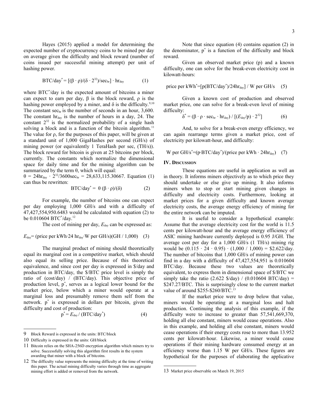Hayes (2015) applied a model for determining the expected number of cryptocurrency coins to be mined per day on average given the difficulty and block reward (number of coins issued per successful mining attempt) per unit of hashing power.

$$
BTC/day^* = [(\beta \cdot \rho)/(\delta \cdot 2^{32})/sec_{hr}] \cdot hr_{day}
$$
 (1)

where BTC\*/day is the expected amount of bitcoins a miner can expect to earn per day, β is the block reward, ρ is the hashing power employed by a miner, and  $\delta$  is the difficulty.<sup>[9,](#page-3-0)[10](#page-3-1)</sup> The constant  $\sec_{hr}$  is the number of seconds in an hour, 3,600. The constant  $hr_{day}$  is the number of hours in a day, 24. The constant  $2^{32}$  is the normalized probability of a single hash solving a block and is a function of the bitcoin algorithm.<sup>[11](#page-3-2)</sup> The value for  $\rho$ , for the purposes of this paper, will be given at a standard unit of 1,000 GigaHashes per second (GH/s) of mining power (or equivalently 1 TeraHash per sec, (TH/s)). The block reward for bitcoin is given at 25 bitcoins per block, currently. The constants which normalize the dimensional space for daily time and for the mining algorithm can be summarized by the term  $θ$ , which will equal:

 $\theta = 24hr_{day} \cdot 2^{32}/3600sec_{hr} = 28,633,115.30667$ . Equation (1) can thus be rewritten:

$$
BTC/day^* = \theta (\beta \cdot \rho)/(\delta)
$$
 (2)

For example, the number of bitcoins one can expect per day employing 1,000 GH/s and with a difficulty of 47,427,554,950.6483 would be calculated with equation (2) to be 0.010604 BTC<sup>\*</sup>/day.<sup>[12](#page-3-3)</sup>

The cost of mining per day,  $E_{day}$  can be expressed as:

$$
E_{\text{day}} = (\text{price per kWh} \cdot 24 \text{ hr}_{\text{day}} \cdot \text{W per GH/s})(\text{GH} / 1,000)
$$
 (3)

The marginal product of mining should theoretically equal its marginal cost in a competitive market, which should also equal its selling price. Because of this theoretical equivalence, and since cost per day is expressed in \$/day and production in BTC/day, the \$/BTC price level is simply the ratio of (cost/day) / (BTC/day). This objective price of production level, p\* , serves as a logical lower bound for the market price, below which a miner would operate at a marginal loss and presumably remove them self from the network. p\* is expressed in dollars per bitcoin, given the difficulty and cost of production:

$$
p^* = E_{day} / (BTC/day^*)
$$
 (4)

Note that since equation (4) contains equation (2) in the denominator, p\* is a function of the difficulty and block reward.

Given an observed market price (p) and a known difficulty, one can solve for the break-even electricity cost in kilowatt-hours:

price per kWh<sup>\*</sup>=[p(BTC/day<sup>\*</sup>)/24hr<sub>day</sub>] / W per GH/s (5)

Given a known cost of production and observed market price, one can solve for a break-even level of mining difficulty:

$$
\delta^* = (\beta \cdot \rho \cdot \sec_{\text{hr}} \cdot \text{hr}_{\text{day}}) / [(E_{\text{day}}/p) \cdot 2^{32}] \tag{6}
$$

And, to solve for a break-even energy efficiency, we can again rearrange terms given a market price, cost of electricity per kilowatt-hour, and difficulty:

W per GH/s<sup>\*</sup>=(p∙BTC/day<sup>\*</sup>)/(price per kWh ⋅ 24hr<sub>day</sub>) (7)

### **IV. DISCUSSION**

These equations are useful in application as well an in theory. It informs miners objectively as to which price they should undertake or else give up mining. It also informs miners when to stop or start mining given changes in difficulty and electricity costs. Furthermore, looking at market prices for a given difficulty and known average electricity costs, the average energy efficiency of mining for the entire network can be imputed.

It is useful to consider a hypothetical example: Assume that the average electricity cost for the world is 11.5 cents per kilowatt-hour and the average energy efficiency of ASIC mining hardware currently deployed is 0.95 J/GH. The average cost per day for a 1,000 GH/s (1 TH/s) mining rig would be  $(0.115 \cdot 24 \cdot 0.95) \cdot (1,000 / 1,000) = $2.622/day$ . The number of bitcoins that 1,000 GH/s of mining power can find in a day with a difficulty of 47,427,554,951 is 0.010604 BTC/day. Because these two values are theoretically equivalent, to express them in dimensional space of \$/BTC we simply take the ratio (2.622  $\frac{3}{day}$ ) / (0.010604 BTC/day) = \$247.27/BTC. This is surprisingly close to the current market value of around \$255-\$260/BTC.<sup>[13](#page-3-4)</sup>

If the market price were to drop below that value, miners would be operating at a marginal loss and halt production. Continuing the analysis of this example, if the difficulty were to increase to greater than 57,541,669,370, holding all else constant, miners would cease operations. Also in this example, and holding all else constant, miners would cease operations if their energy costs rose to more than 13.952 cents per kilowatt-hour. Likewise, a miner would cease operations if their mining hardware consumed energy at an efficiency worse than 1.15 W per GH/s. These figures are hypothetical for the purposes of elaborating the applicative

<span id="page-3-0"></span><sup>9</sup> Block Reward is expressed in the units: BTC/block

<span id="page-3-1"></span><sup>10</sup> Difficulty is expressed in the units: GH/block

<span id="page-3-2"></span><sup>11</sup> Bitcoin relies on the SHA-256D encryption algorithm which miners try to solve. Successfully solving this algorithm first results in the system awarding that miner with a block of bitcoins.

<span id="page-3-3"></span><sup>12</sup> The difficulty value represents the mining difficulty at the time of writing this paper. The actual mining difficulty varies through time as aggregate mining effort is added or removed from the network.

<span id="page-3-4"></span><sup>13</sup> Market price observable on March 19, 2015